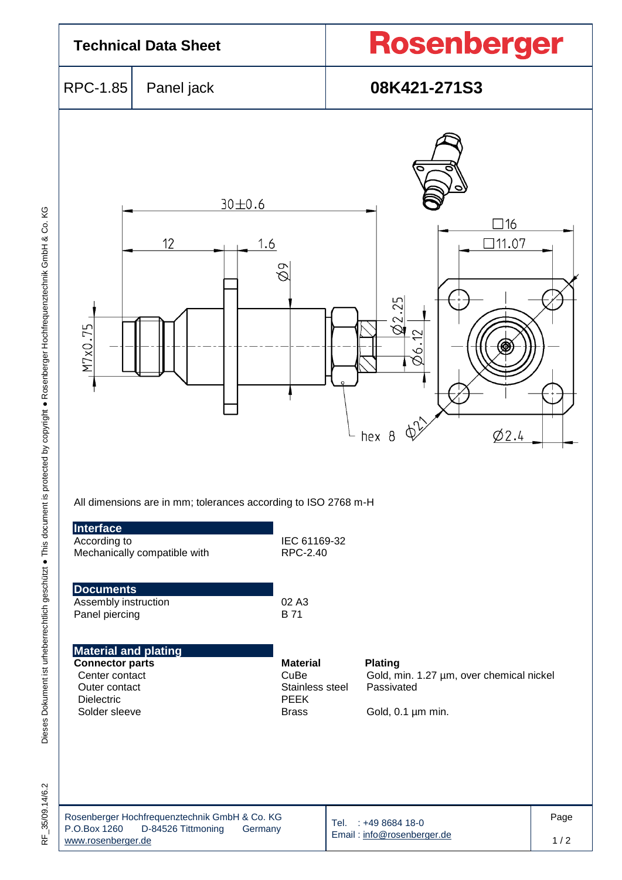

35/09.14/6.2  $\frac{\mu}{\alpha}$